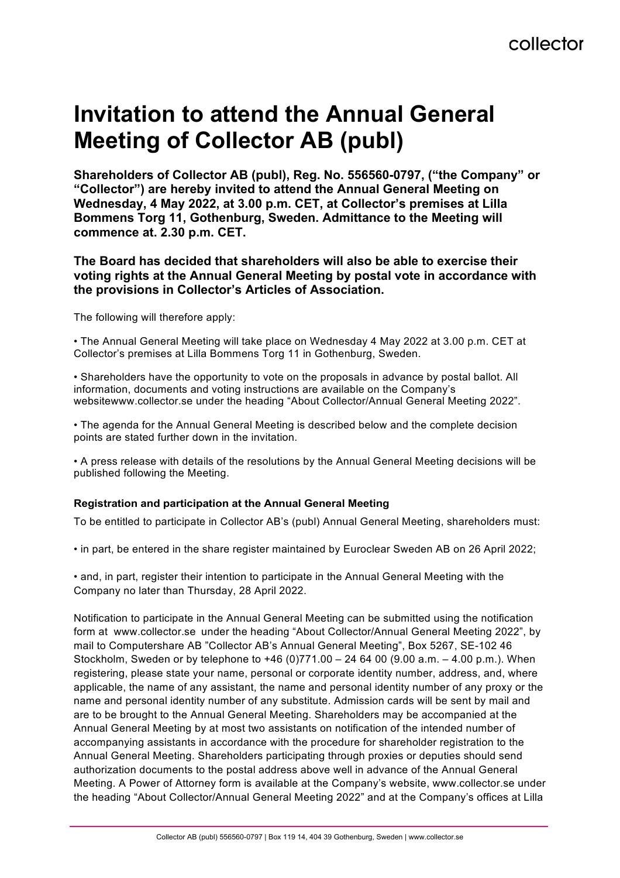# **Invitation to attend the Annual General Meeting of Collector AB (publ)**

**Shareholders of Collector AB (publ), Reg. No. 556560-0797, ("the Company" or "Collector") are hereby invited to attend the Annual General Meeting on Wednesday, 4 May 2022, at 3.00 p.m. CET, at Collector's premises at Lilla Bommens Torg 11, Gothenburg, Sweden. Admittance to the Meeting will commence at. 2.30 p.m. CET.**

### **The Board has decided that shareholders will also be able to exercise their voting rights at the Annual General Meeting by postal vote in accordance with the provisions in Collector's Articles of Association.**

The following will therefore apply:

• The Annual General Meeting will take place on Wednesday 4 May 2022 at 3.00 p.m. CET at Collector's premises at Lilla Bommens Torg 11 in Gothenburg, Sweden.

• Shareholders have the opportunity to vote on the proposals in advance by postal ballot. All information, documents and voting instructions are available on the Company's websitewww.collector.se under the heading "About Collector/Annual General Meeting 2022".

• The agenda for the Annual General Meeting is described below and the complete decision points are stated further down in the invitation.

• A press release with details of the resolutions by the Annual General Meeting decisions will be published following the Meeting.

### **Registration and participation at the Annual General Meeting**

To be entitled to participate in Collector AB's (publ) Annual General Meeting, shareholders must:

• in part, be entered in the share register maintained by Euroclear Sweden AB on 26 April 2022;

• and, in part, register their intention to participate in the Annual General Meeting with the Company no later than Thursday, 28 April 2022.

Notification to participate in the Annual General Meeting can be submitted using the notification form at www.collector.se under the heading "About Collector/Annual General Meeting 2022", by mail to Computershare AB "Collector AB's Annual General Meeting", Box 5267, SE-102 46 Stockholm, Sweden or by telephone to +46 (0)771.00 – 24 64 00 (9.00 a.m. – 4.00 p.m.). When registering, please state your name, personal or corporate identity number, address, and, where applicable, the name of any assistant, the name and personal identity number of any proxy or the name and personal identity number of any substitute. Admission cards will be sent by mail and are to be brought to the Annual General Meeting. Shareholders may be accompanied at the Annual General Meeting by at most two assistants on notification of the intended number of accompanying assistants in accordance with the procedure for shareholder registration to the Annual General Meeting. Shareholders participating through proxies or deputies should send authorization documents to the postal address above well in advance of the Annual General Meeting. A Power of Attorney form is available at the Company's website, www.collector.se under the heading "About Collector/Annual General Meeting 2022" and at the Company's offices at Lilla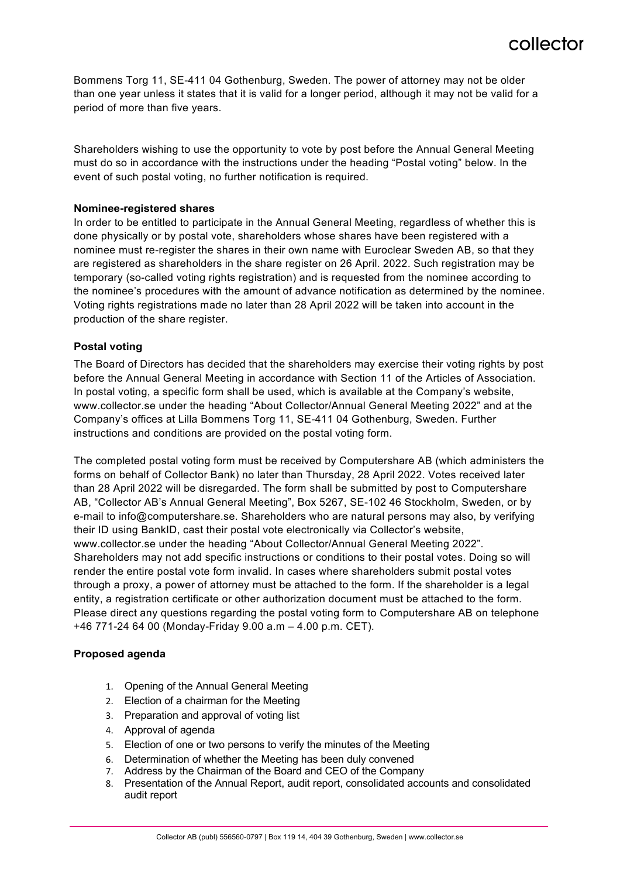Bommens Torg 11, SE-411 04 Gothenburg, Sweden. The power of attorney may not be older than one year unless it states that it is valid for a longer period, although it may not be valid for a period of more than five years.

Shareholders wishing to use the opportunity to vote by post before the Annual General Meeting must do so in accordance with the instructions under the heading "Postal voting" below. In the event of such postal voting, no further notification is required.

#### **Nominee-registered shares**

In order to be entitled to participate in the Annual General Meeting, regardless of whether this is done physically or by postal vote, shareholders whose shares have been registered with a nominee must re-register the shares in their own name with Euroclear Sweden AB, so that they are registered as shareholders in the share register on 26 April. 2022. Such registration may be temporary (so-called voting rights registration) and is requested from the nominee according to the nominee's procedures with the amount of advance notification as determined by the nominee. Voting rights registrations made no later than 28 April 2022 will be taken into account in the production of the share register.

#### **Postal voting**

The Board of Directors has decided that the shareholders may exercise their voting rights by post before the Annual General Meeting in accordance with Section 11 of the Articles of Association. In postal voting, a specific form shall be used, which is available at the Company's website, www.collector.se under the heading "About Collector/Annual General Meeting 2022" and at the Company's offices at Lilla Bommens Torg 11, SE-411 04 Gothenburg, Sweden. Further instructions and conditions are provided on the postal voting form.

The completed postal voting form must be received by Computershare AB (which administers the forms on behalf of Collector Bank) no later than Thursday, 28 April 2022. Votes received later than 28 April 2022 will be disregarded. The form shall be submitted by post to Computershare AB, "Collector AB's Annual General Meeting", Box 5267, SE-102 46 Stockholm, Sweden, or by e-mail to info@computershare.se. Shareholders who are natural persons may also, by verifying their ID using BankID, cast their postal vote electronically via Collector's website, www.collector.se under the heading "About Collector/Annual General Meeting 2022". Shareholders may not add specific instructions or conditions to their postal votes. Doing so will render the entire postal vote form invalid. In cases where shareholders submit postal votes through a proxy, a power of attorney must be attached to the form. If the shareholder is a legal entity, a registration certificate or other authorization document must be attached to the form. Please direct any questions regarding the postal voting form to Computershare AB on telephone +46 771-24 64 00 (Monday-Friday 9.00 a.m – 4.00 p.m. CET).

#### **Proposed agenda**

- 1. Opening of the Annual General Meeting
- 2. Election of a chairman for the Meeting
- 3. Preparation and approval of voting list
- 4. Approval of agenda
- 5. Election of one or two persons to verify the minutes of the Meeting
- 6. Determination of whether the Meeting has been duly convened
- 7. Address by the Chairman of the Board and CEO of the Company
- 8. Presentation of the Annual Report, audit report, consolidated accounts and consolidated audit report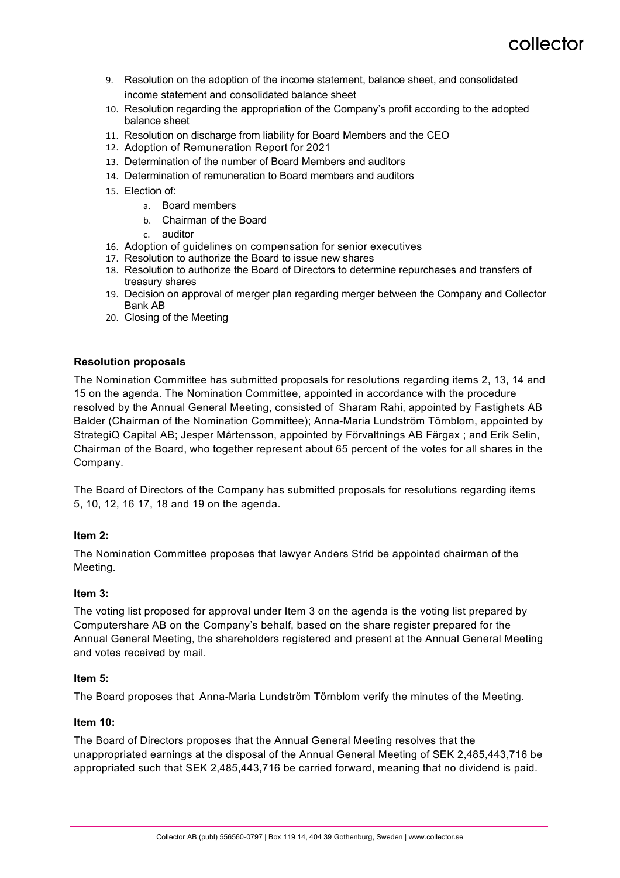- 9. Resolution on the adoption of the income statement, balance sheet, and consolidated income statement and consolidated balance sheet
- 10. Resolution regarding the appropriation of the Company's profit according to the adopted balance sheet
- 11. Resolution on discharge from liability for Board Members and the CEO
- 12. Adoption of Remuneration Report for 2021
- 13. Determination of the number of Board Members and auditors
- 14. Determination of remuneration to Board members and auditors
- 15. Election of:
	- a. Board members
	- b. Chairman of the Board
	- c. auditor
- 16. Adoption of guidelines on compensation for senior executives
- 17. Resolution to authorize the Board to issue new shares
- 18. Resolution to authorize the Board of Directors to determine repurchases and transfers of treasury shares
- 19. Decision on approval of merger plan regarding merger between the Company and Collector Bank AB
- 20. Closing of the Meeting

#### **Resolution proposals**

The Nomination Committee has submitted proposals for resolutions regarding items 2, 13, 14 and 15 on the agenda. The Nomination Committee, appointed in accordance with the procedure resolved by the Annual General Meeting, consisted of Sharam Rahi, appointed by Fastighets AB Balder (Chairman of the Nomination Committee); Anna-Maria Lundström Törnblom, appointed by StrategiQ Capital AB; Jesper Mårtensson, appointed by Förvaltnings AB Färgax ; and Erik Selin, Chairman of the Board, who together represent about 65 percent of the votes for all shares in the Company.

The Board of Directors of the Company has submitted proposals for resolutions regarding items 5, 10, 12, 16 17, 18 and 19 on the agenda.

#### **Item 2:**

The Nomination Committee proposes that lawyer Anders Strid be appointed chairman of the Meeting.

#### **Item 3:**

The voting list proposed for approval under Item 3 on the agenda is the voting list prepared by Computershare AB on the Company's behalf, based on the share register prepared for the Annual General Meeting, the shareholders registered and present at the Annual General Meeting and votes received by mail.

#### **Item 5:**

The Board proposes that Anna-Maria Lundström Törnblom verify the minutes of the Meeting.

#### **Item 10:**

The Board of Directors proposes that the Annual General Meeting resolves that the unappropriated earnings at the disposal of the Annual General Meeting of SEK 2,485,443,716 be appropriated such that SEK 2,485,443,716 be carried forward, meaning that no dividend is paid.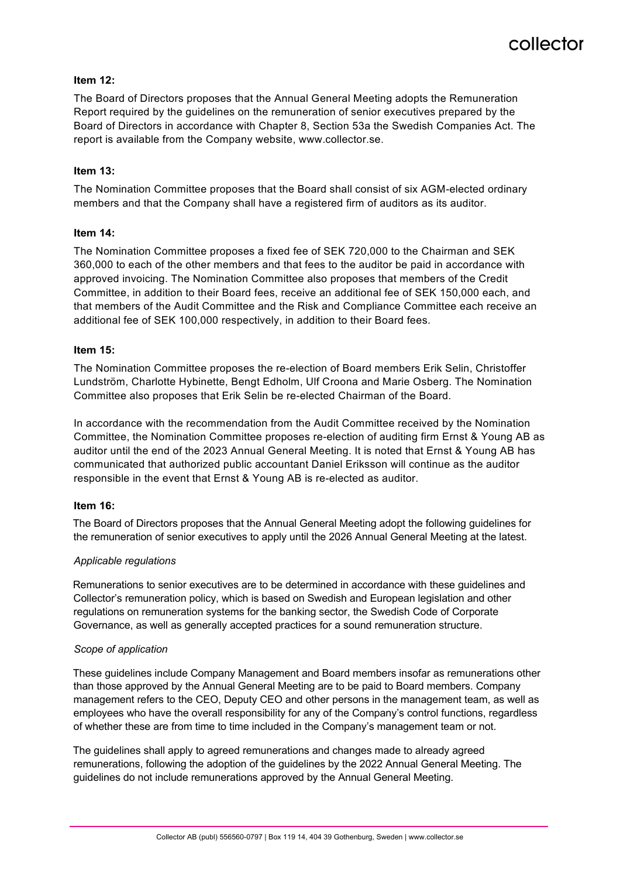

#### **Item 12:**

The Board of Directors proposes that the Annual General Meeting adopts the Remuneration Report required by the guidelines on the remuneration of senior executives prepared by the Board of Directors in accordance with Chapter 8, Section 53a the Swedish Companies Act. The report is available from the Company website, www.collector.se.

#### **Item 13:**

The Nomination Committee proposes that the Board shall consist of six AGM-elected ordinary members and that the Company shall have a registered firm of auditors as its auditor.

#### **Item 14:**

The Nomination Committee proposes a fixed fee of SEK 720,000 to the Chairman and SEK 360,000 to each of the other members and that fees to the auditor be paid in accordance with approved invoicing. The Nomination Committee also proposes that members of the Credit Committee, in addition to their Board fees, receive an additional fee of SEK 150,000 each, and that members of the Audit Committee and the Risk and Compliance Committee each receive an additional fee of SEK 100,000 respectively, in addition to their Board fees.

#### **Item 15:**

The Nomination Committee proposes the re-election of Board members Erik Selin, Christoffer Lundström, Charlotte Hybinette, Bengt Edholm, Ulf Croona and Marie Osberg. The Nomination Committee also proposes that Erik Selin be re-elected Chairman of the Board.

In accordance with the recommendation from the Audit Committee received by the Nomination Committee, the Nomination Committee proposes re-election of auditing firm Ernst & Young AB as auditor until the end of the 2023 Annual General Meeting. It is noted that Ernst & Young AB has communicated that authorized public accountant Daniel Eriksson will continue as the auditor responsible in the event that Ernst & Young AB is re-elected as auditor.

#### **Item 16:**

The Board of Directors proposes that the Annual General Meeting adopt the following guidelines for the remuneration of senior executives to apply until the 2026 Annual General Meeting at the latest.

#### *Applicable regulations*

Remunerations to senior executives are to be determined in accordance with these guidelines and Collector's remuneration policy, which is based on Swedish and European legislation and other regulations on remuneration systems for the banking sector, the Swedish Code of Corporate Governance, as well as generally accepted practices for a sound remuneration structure.

#### *Scope of application*

These guidelines include Company Management and Board members insofar as remunerations other than those approved by the Annual General Meeting are to be paid to Board members. Company management refers to the CEO, Deputy CEO and other persons in the management team, as well as employees who have the overall responsibility for any of the Company's control functions, regardless of whether these are from time to time included in the Company's management team or not.

The guidelines shall apply to agreed remunerations and changes made to already agreed remunerations, following the adoption of the guidelines by the 2022 Annual General Meeting. The guidelines do not include remunerations approved by the Annual General Meeting.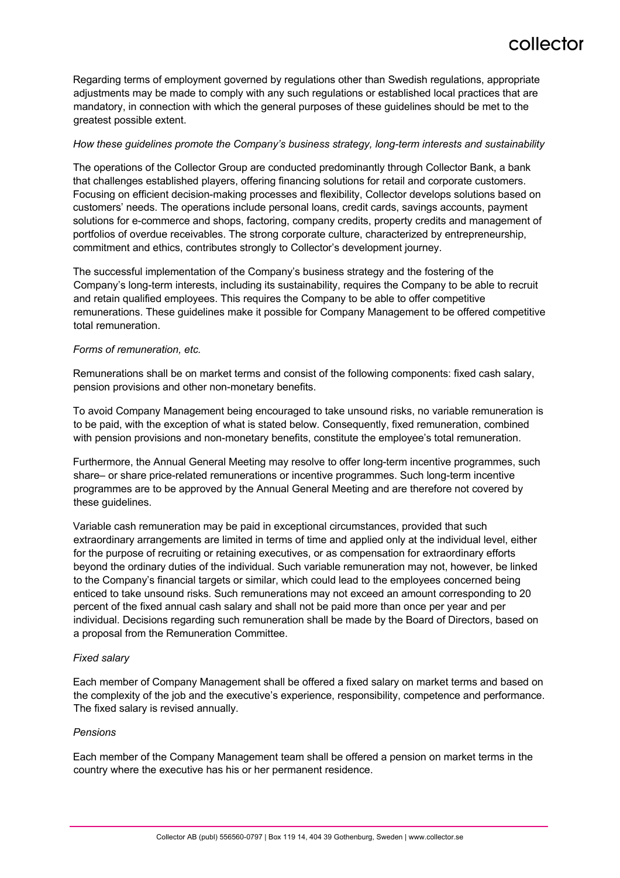Regarding terms of employment governed by regulations other than Swedish regulations, appropriate adjustments may be made to comply with any such regulations or established local practices that are mandatory, in connection with which the general purposes of these guidelines should be met to the greatest possible extent.

#### *How these guidelines promote the Company's business strategy, long-term interests and sustainability*

The operations of the Collector Group are conducted predominantly through Collector Bank, a bank that challenges established players, offering financing solutions for retail and corporate customers. Focusing on efficient decision-making processes and flexibility, Collector develops solutions based on customers' needs. The operations include personal loans, credit cards, savings accounts, payment solutions for e-commerce and shops, factoring, company credits, property credits and management of portfolios of overdue receivables. The strong corporate culture, characterized by entrepreneurship, commitment and ethics, contributes strongly to Collector's development journey.

The successful implementation of the Company's business strategy and the fostering of the Company's long-term interests, including its sustainability, requires the Company to be able to recruit and retain qualified employees. This requires the Company to be able to offer competitive remunerations. These guidelines make it possible for Company Management to be offered competitive total remuneration.

#### *Forms of remuneration, etc.*

Remunerations shall be on market terms and consist of the following components: fixed cash salary, pension provisions and other non-monetary benefits.

To avoid Company Management being encouraged to take unsound risks, no variable remuneration is to be paid, with the exception of what is stated below. Consequently, fixed remuneration, combined with pension provisions and non-monetary benefits, constitute the employee's total remuneration.

Furthermore, the Annual General Meeting may resolve to offer long-term incentive programmes, such share– or share price-related remunerations or incentive programmes. Such long-term incentive programmes are to be approved by the Annual General Meeting and are therefore not covered by these guidelines.

Variable cash remuneration may be paid in exceptional circumstances, provided that such extraordinary arrangements are limited in terms of time and applied only at the individual level, either for the purpose of recruiting or retaining executives, or as compensation for extraordinary efforts beyond the ordinary duties of the individual. Such variable remuneration may not, however, be linked to the Company's financial targets or similar, which could lead to the employees concerned being enticed to take unsound risks. Such remunerations may not exceed an amount corresponding to 20 percent of the fixed annual cash salary and shall not be paid more than once per year and per individual. Decisions regarding such remuneration shall be made by the Board of Directors, based on a proposal from the Remuneration Committee.

#### *Fixed salary*

Each member of Company Management shall be offered a fixed salary on market terms and based on the complexity of the job and the executive's experience, responsibility, competence and performance. The fixed salary is revised annually.

#### *Pensions*

Each member of the Company Management team shall be offered a pension on market terms in the country where the executive has his or her permanent residence.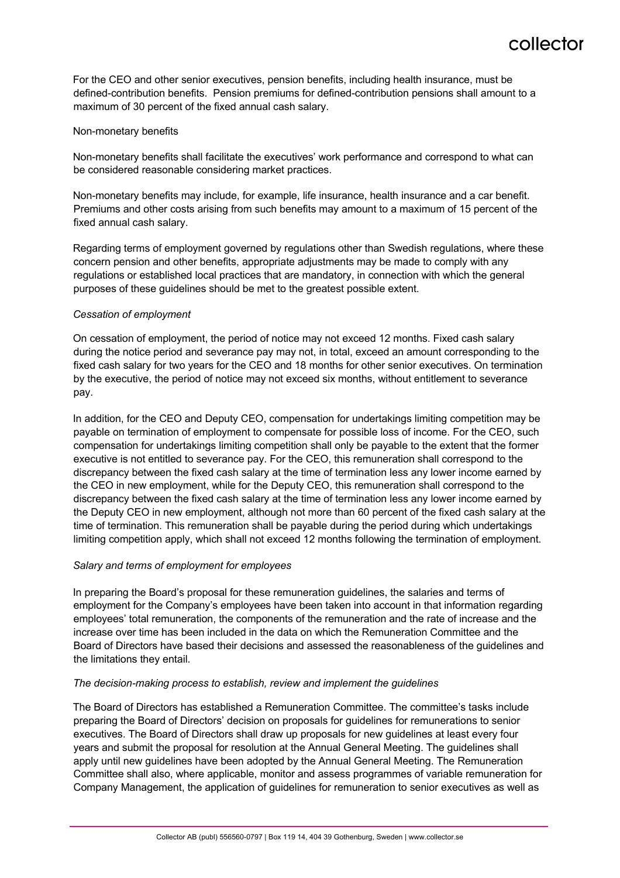For the CEO and other senior executives, pension benefits, including health insurance, must be defined-contribution benefits. Pension premiums for defined-contribution pensions shall amount to a maximum of 30 percent of the fixed annual cash salary.

#### Non-monetary benefits

Non-monetary benefits shall facilitate the executives' work performance and correspond to what can be considered reasonable considering market practices.

Non-monetary benefits may include, for example, life insurance, health insurance and a car benefit. Premiums and other costs arising from such benefits may amount to a maximum of 15 percent of the fixed annual cash salary.

Regarding terms of employment governed by regulations other than Swedish regulations, where these concern pension and other benefits, appropriate adjustments may be made to comply with any regulations or established local practices that are mandatory, in connection with which the general purposes of these guidelines should be met to the greatest possible extent.

#### *Cessation of employment*

On cessation of employment, the period of notice may not exceed 12 months. Fixed cash salary during the notice period and severance pay may not, in total, exceed an amount corresponding to the fixed cash salary for two years for the CEO and 18 months for other senior executives. On termination by the executive, the period of notice may not exceed six months, without entitlement to severance pay.

In addition, for the CEO and Deputy CEO, compensation for undertakings limiting competition may be payable on termination of employment to compensate for possible loss of income. For the CEO, such compensation for undertakings limiting competition shall only be payable to the extent that the former executive is not entitled to severance pay. For the CEO, this remuneration shall correspond to the discrepancy between the fixed cash salary at the time of termination less any lower income earned by the CEO in new employment, while for the Deputy CEO, this remuneration shall correspond to the discrepancy between the fixed cash salary at the time of termination less any lower income earned by the Deputy CEO in new employment, although not more than 60 percent of the fixed cash salary at the time of termination. This remuneration shall be payable during the period during which undertakings limiting competition apply, which shall not exceed 12 months following the termination of employment.

#### *Salary and terms of employment for employees*

In preparing the Board's proposal for these remuneration guidelines, the salaries and terms of employment for the Company's employees have been taken into account in that information regarding employees' total remuneration, the components of the remuneration and the rate of increase and the increase over time has been included in the data on which the Remuneration Committee and the Board of Directors have based their decisions and assessed the reasonableness of the guidelines and the limitations they entail.

#### *The decision-making process to establish, review and implement the guidelines*

The Board of Directors has established a Remuneration Committee. The committee's tasks include preparing the Board of Directors' decision on proposals for guidelines for remunerations to senior executives. The Board of Directors shall draw up proposals for new guidelines at least every four years and submit the proposal for resolution at the Annual General Meeting. The guidelines shall apply until new guidelines have been adopted by the Annual General Meeting. The Remuneration Committee shall also, where applicable, monitor and assess programmes of variable remuneration for Company Management, the application of guidelines for remuneration to senior executives as well as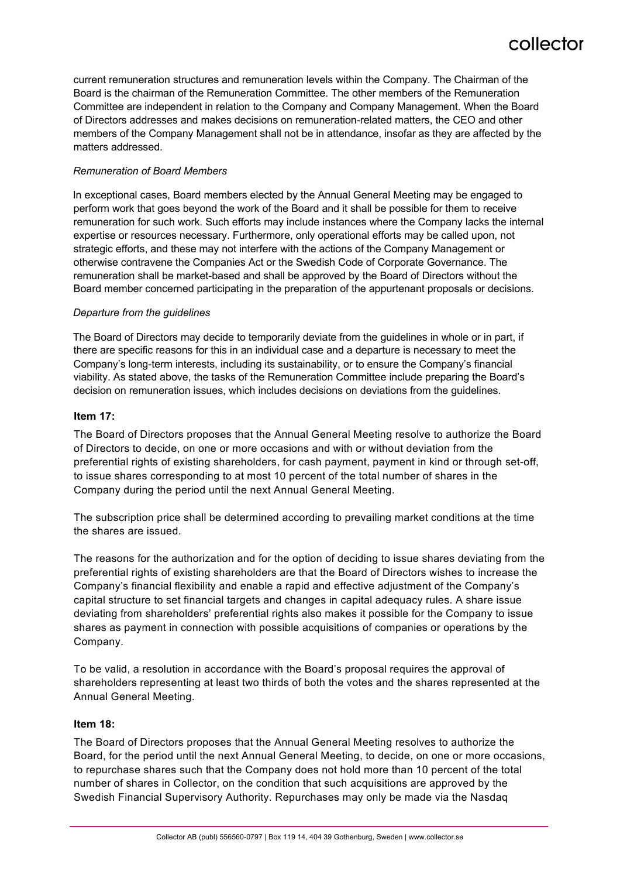current remuneration structures and remuneration levels within the Company. The Chairman of the Board is the chairman of the Remuneration Committee. The other members of the Remuneration Committee are independent in relation to the Company and Company Management. When the Board of Directors addresses and makes decisions on remuneration-related matters, the CEO and other members of the Company Management shall not be in attendance, insofar as they are affected by the matters addressed.

#### *Remuneration of Board Members*

In exceptional cases, Board members elected by the Annual General Meeting may be engaged to perform work that goes beyond the work of the Board and it shall be possible for them to receive remuneration for such work. Such efforts may include instances where the Company lacks the internal expertise or resources necessary. Furthermore, only operational efforts may be called upon, not strategic efforts, and these may not interfere with the actions of the Company Management or otherwise contravene the Companies Act or the Swedish Code of Corporate Governance. The remuneration shall be market-based and shall be approved by the Board of Directors without the Board member concerned participating in the preparation of the appurtenant proposals or decisions.

#### *Departure from the guidelines*

The Board of Directors may decide to temporarily deviate from the guidelines in whole or in part, if there are specific reasons for this in an individual case and a departure is necessary to meet the Company's long-term interests, including its sustainability, or to ensure the Company's financial viability. As stated above, the tasks of the Remuneration Committee include preparing the Board's decision on remuneration issues, which includes decisions on deviations from the guidelines.

#### **Item 17:**

The Board of Directors proposes that the Annual General Meeting resolve to authorize the Board of Directors to decide, on one or more occasions and with or without deviation from the preferential rights of existing shareholders, for cash payment, payment in kind or through set-off, to issue shares corresponding to at most 10 percent of the total number of shares in the Company during the period until the next Annual General Meeting.

The subscription price shall be determined according to prevailing market conditions at the time the shares are issued.

The reasons for the authorization and for the option of deciding to issue shares deviating from the preferential rights of existing shareholders are that the Board of Directors wishes to increase the Company's financial flexibility and enable a rapid and effective adjustment of the Company's capital structure to set financial targets and changes in capital adequacy rules. A share issue deviating from shareholders' preferential rights also makes it possible for the Company to issue shares as payment in connection with possible acquisitions of companies or operations by the Company.

To be valid, a resolution in accordance with the Board's proposal requires the approval of shareholders representing at least two thirds of both the votes and the shares represented at the Annual General Meeting.

#### **Item 18:**

The Board of Directors proposes that the Annual General Meeting resolves to authorize the Board, for the period until the next Annual General Meeting, to decide, on one or more occasions, to repurchase shares such that the Company does not hold more than 10 percent of the total number of shares in Collector, on the condition that such acquisitions are approved by the Swedish Financial Supervisory Authority. Repurchases may only be made via the Nasdaq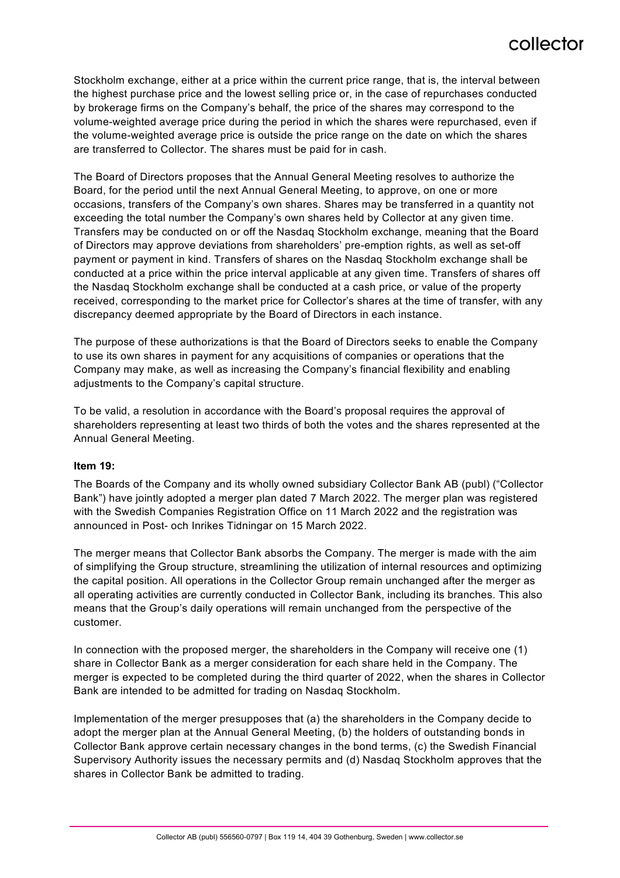Stockholm exchange, either at a price within the current price range, that is, the interval between the highest purchase price and the lowest selling price or, in the case of repurchases conducted by brokerage firms on the Company's behalf, the price of the shares may correspond to the volume-weighted average price during the period in which the shares were repurchased, even if the volume-weighted average price is outside the price range on the date on which the shares are transferred to Collector. The shares must be paid for in cash.

The Board of Directors proposes that the Annual General Meeting resolves to authorize the Board, for the period until the next Annual General Meeting, to approve, on one or more occasions, transfers of the Company's own shares. Shares may be transferred in a quantity not exceeding the total number the Company's own shares held by Collector at any given time. Transfers may be conducted on or off the Nasdaq Stockholm exchange, meaning that the Board of Directors may approve deviations from shareholders' pre-emption rights, as well as set-off payment or payment in kind. Transfers of shares on the Nasdaq Stockholm exchange shall be conducted at a price within the price interval applicable at any given time. Transfers of shares off the Nasdaq Stockholm exchange shall be conducted at a cash price, or value of the property received, corresponding to the market price for Collector's shares at the time of transfer, with any discrepancy deemed appropriate by the Board of Directors in each instance.

The purpose of these authorizations is that the Board of Directors seeks to enable the Company to use its own shares in payment for any acquisitions of companies or operations that the Company may make, as well as increasing the Company's financial flexibility and enabling adjustments to the Company's capital structure.

To be valid, a resolution in accordance with the Board's proposal requires the approval of shareholders representing at least two thirds of both the votes and the shares represented at the Annual General Meeting.

#### **Item 19:**

The Boards of the Company and its wholly owned subsidiary Collector Bank AB (publ) ("Collector Bank") have jointly adopted a merger plan dated 7 March 2022. The merger plan was registered with the Swedish Companies Registration Office on 11 March 2022 and the registration was announced in Post- och Inrikes Tidningar on 15 March 2022.

The merger means that Collector Bank absorbs the Company. The merger is made with the aim of simplifying the Group structure, streamlining the utilization of internal resources and optimizing the capital position. All operations in the Collector Group remain unchanged after the merger as all operating activities are currently conducted in Collector Bank, including its branches. This also means that the Group's daily operations will remain unchanged from the perspective of the customer.

In connection with the proposed merger, the shareholders in the Company will receive one (1) share in Collector Bank as a merger consideration for each share held in the Company. The merger is expected to be completed during the third quarter of 2022, when the shares in Collector Bank are intended to be admitted for trading on Nasdaq Stockholm.

Implementation of the merger presupposes that (a) the shareholders in the Company decide to adopt the merger plan at the Annual General Meeting, (b) the holders of outstanding bonds in Collector Bank approve certain necessary changes in the bond terms, (c) the Swedish Financial Supervisory Authority issues the necessary permits and (d) Nasdaq Stockholm approves that the shares in Collector Bank be admitted to trading.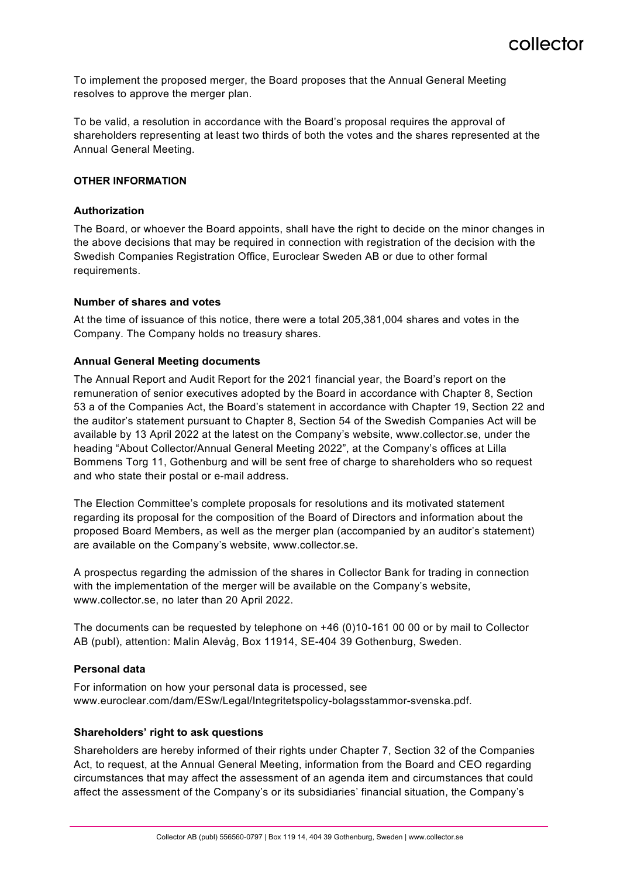To implement the proposed merger, the Board proposes that the Annual General Meeting resolves to approve the merger plan.

To be valid, a resolution in accordance with the Board's proposal requires the approval of shareholders representing at least two thirds of both the votes and the shares represented at the Annual General Meeting.

#### **OTHER INFORMATION**

#### **Authorization**

The Board, or whoever the Board appoints, shall have the right to decide on the minor changes in the above decisions that may be required in connection with registration of the decision with the Swedish Companies Registration Office, Euroclear Sweden AB or due to other formal requirements.

#### **Number of shares and votes**

At the time of issuance of this notice, there were a total 205,381,004 shares and votes in the Company. The Company holds no treasury shares.

#### **Annual General Meeting documents**

The Annual Report and Audit Report for the 2021 financial year, the Board's report on the remuneration of senior executives adopted by the Board in accordance with Chapter 8, Section 53 a of the Companies Act, the Board's statement in accordance with Chapter 19, Section 22 and the auditor's statement pursuant to Chapter 8, Section 54 of the Swedish Companies Act will be available by 13 April 2022 at the latest on the Company's website, www.collector.se, under the heading "About Collector/Annual General Meeting 2022", at the Company's offices at Lilla Bommens Torg 11, Gothenburg and will be sent free of charge to shareholders who so request and who state their postal or e-mail address.

The Election Committee's complete proposals for resolutions and its motivated statement regarding its proposal for the composition of the Board of Directors and information about the proposed Board Members, as well as the merger plan (accompanied by an auditor's statement) are available on the Company's website, www.collector.se.

A prospectus regarding the admission of the shares in Collector Bank for trading in connection with the implementation of the merger will be available on the Company's website, www.collector.se, no later than 20 April 2022.

The documents can be requested by telephone on +46 (0)10-161 00 00 or by mail to Collector AB (publ), attention: Malin Alevåg, Box 11914, SE-404 39 Gothenburg, Sweden.

### **Personal data**

For information on how your personal data is processed, see www.euroclear.com/dam/ESw/Legal/Integritetspolicy-bolagsstammor-svenska.pdf.

#### **Shareholders' right to ask questions**

Shareholders are hereby informed of their rights under Chapter 7, Section 32 of the Companies Act, to request, at the Annual General Meeting, information from the Board and CEO regarding circumstances that may affect the assessment of an agenda item and circumstances that could affect the assessment of the Company's or its subsidiaries' financial situation, the Company's